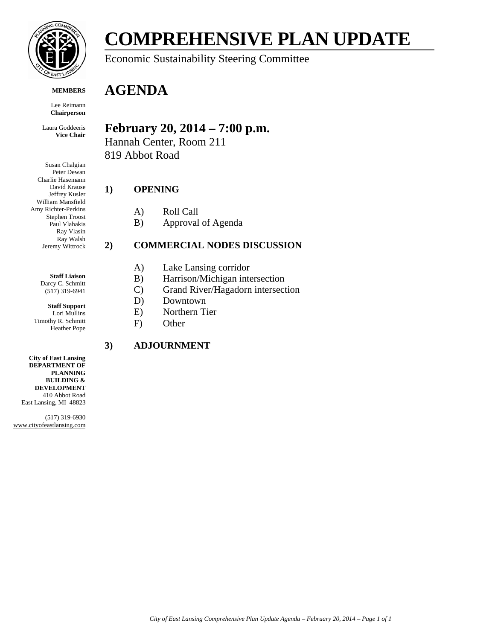

#### **MEMBERS**

Lee Reimann **Chairperson**

Laura Goddeeris **Vice Chair**

Susan Chalgian Peter Dewan Charlie Hasemann David Krause Jeffrey Kusler William Mansfield Amy Richter-Perkins Stephen Troost Paul Vlahakis Ray Vlasin Ray Walsh Jeremy Wittrock

> **Staff Liaison** Darcy C. Schmitt (517) 319-6941

**Staff Support** Lori Mullins Timothy R. Schmitt Heather Pope

**City of East Lansing DEPARTMENT OF PLANNING BUILDING & DEVELOPMENT** 410 Abbot Road East Lansing, MI 48823

(517) 319-6930 www.cityofeastlansing.com

# **COMPREHENSIVE PLAN UPDATE**

### Economic Sustainability Steering Committee

## **AGENDA**

### **February 20, 2014 – 7:00 p.m.**

Hannah Center, Room 211 819 Abbot Road

#### **1) OPENING**

- A) Roll Call
- B) Approval of Agenda

#### **2) COMMERCIAL NODES DISCUSSION**

- A) Lake Lansing corridor
- B) Harrison/Michigan intersection
- C) Grand River/Hagadorn intersection
- D) Downtown
- E) Northern Tier
- F) Other

#### **3) ADJOURNMENT**